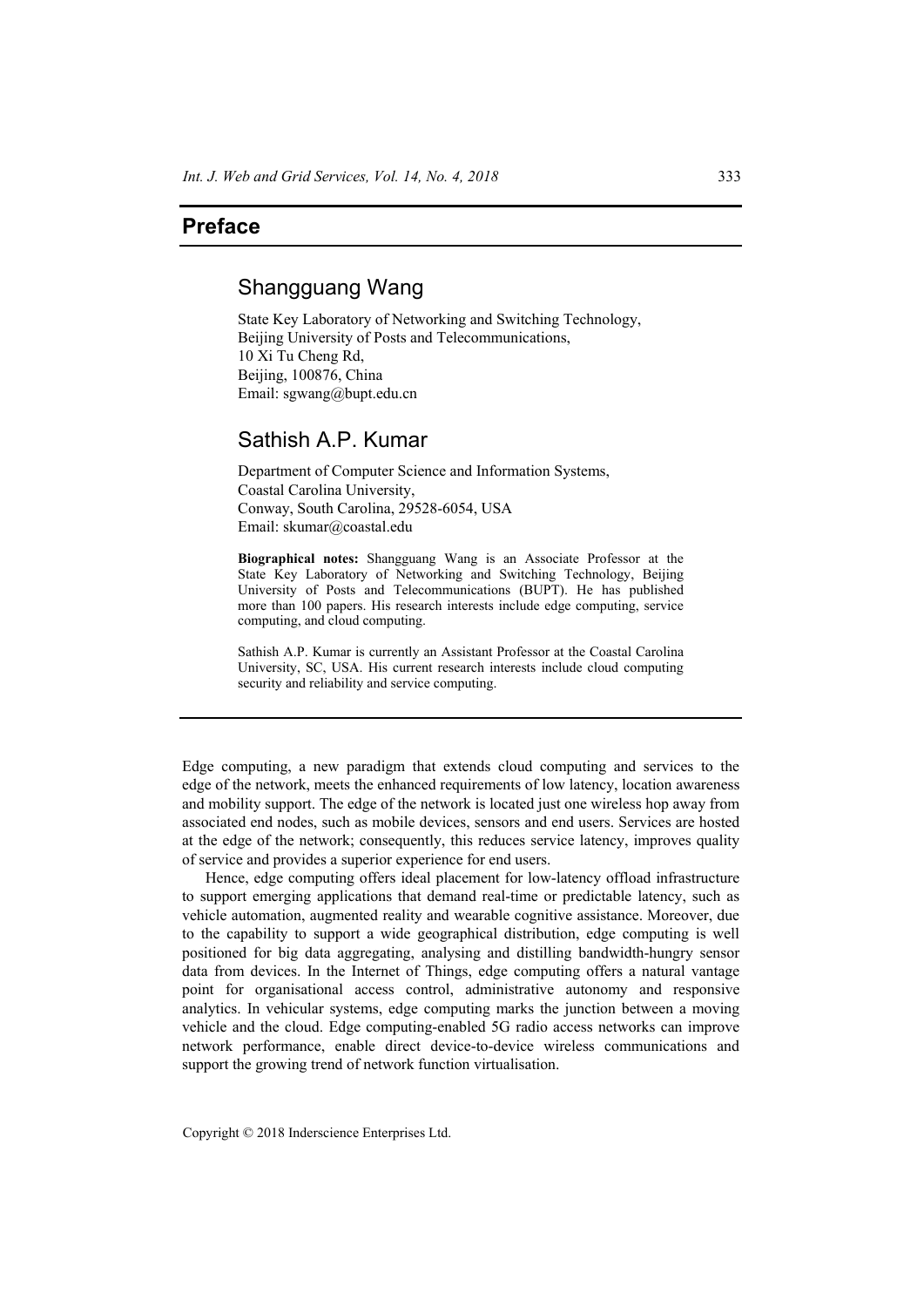### **Preface**

# Shangguang Wang

State Key Laboratory of Networking and Switching Technology, Beijing University of Posts and Telecommunications, 10 Xi Tu Cheng Rd, Beijing, 100876, China Email: sgwang@bupt.edu.cn

# Sathish A.P. Kumar

Department of Computer Science and Information Systems, Coastal Carolina University, Conway, South Carolina, 29528-6054, USA Email: skumar@coastal.edu

**Biographical notes:** Shangguang Wang is an Associate Professor at the State Key Laboratory of Networking and Switching Technology, Beijing University of Posts and Telecommunications (BUPT). He has published more than 100 papers. His research interests include edge computing, service computing, and cloud computing.

Sathish A.P. Kumar is currently an Assistant Professor at the Coastal Carolina University, SC, USA. His current research interests include cloud computing security and reliability and service computing.

Edge computing, a new paradigm that extends cloud computing and services to the edge of the network, meets the enhanced requirements of low latency, location awareness and mobility support. The edge of the network is located just one wireless hop away from associated end nodes, such as mobile devices, sensors and end users. Services are hosted at the edge of the network; consequently, this reduces service latency, improves quality of service and provides a superior experience for end users.

Hence, edge computing offers ideal placement for low-latency offload infrastructure to support emerging applications that demand real-time or predictable latency, such as vehicle automation, augmented reality and wearable cognitive assistance. Moreover, due to the capability to support a wide geographical distribution, edge computing is well positioned for big data aggregating, analysing and distilling bandwidth-hungry sensor data from devices. In the Internet of Things, edge computing offers a natural vantage point for organisational access control, administrative autonomy and responsive analytics. In vehicular systems, edge computing marks the junction between a moving vehicle and the cloud. Edge computing-enabled 5G radio access networks can improve network performance, enable direct device-to-device wireless communications and support the growing trend of network function virtualisation.